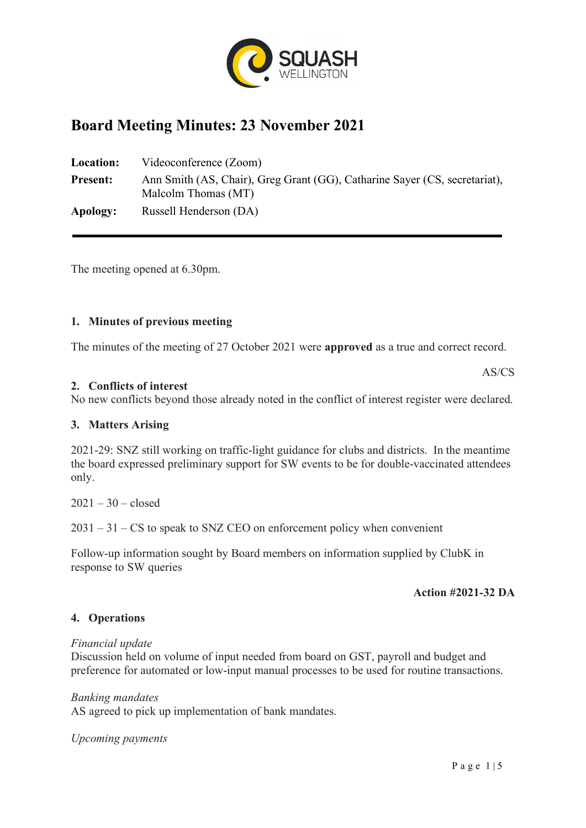

# **Board Meeting Minutes: 23 November 2021**

| <b>Location:</b> | Videoconference (Zoom)                                                                            |  |  |  |  |
|------------------|---------------------------------------------------------------------------------------------------|--|--|--|--|
| <b>Present:</b>  | Ann Smith (AS, Chair), Greg Grant (GG), Catharine Sayer (CS, secretariat),<br>Malcolm Thomas (MT) |  |  |  |  |
| Apology:         | Russell Henderson (DA)                                                                            |  |  |  |  |

The meeting opened at 6.30pm.

# **1. Minutes of previous meeting**

The minutes of the meeting of 27 October 2021 were **approved** as a true and correct record.

AS/CS

# **2. Conflicts of interest**

No new conflicts beyond those already noted in the conflict of interest register were declared.

## **3. Matters Arising**

2021-29: SNZ still working on traffic-light guidance for clubs and districts. In the meantime the board expressed preliminary support for SW events to be for double-vaccinated attendees only.

 $2021 - 30 -$  closed

 $2031 - 31 - CS$  to speak to SNZ CEO on enforcement policy when convenient

Follow-up information sought by Board members on information supplied by ClubK in response to SW queries

## **Action #2021-32 DA**

## **4. Operations**

## *Financial update*

Discussion held on volume of input needed from board on GST, payroll and budget and preference for automated or low-input manual processes to be used for routine transactions.

## *Banking mandates*

AS agreed to pick up implementation of bank mandates.

*Upcoming payments*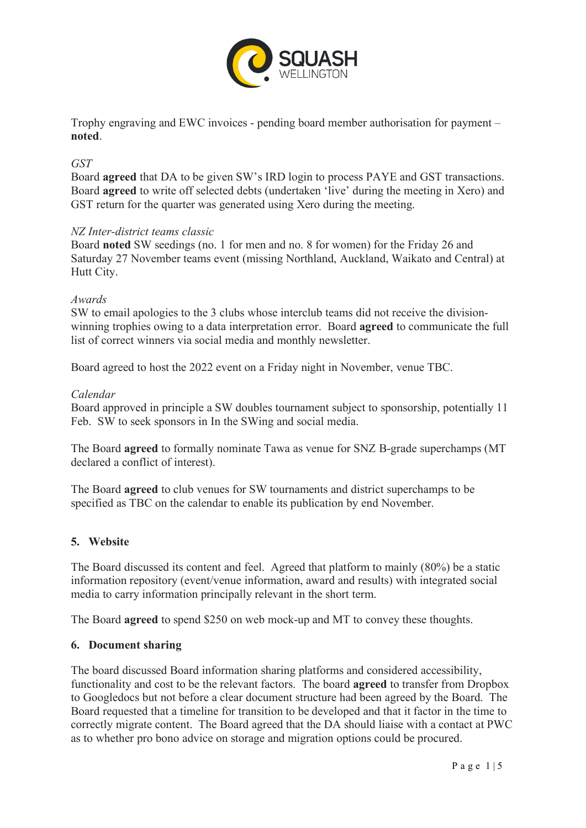

Trophy engraving and EWC invoices - pending board member authorisation for payment – **noted**.

# *GST*

Board **agreed** that DA to be given SW's IRD login to process PAYE and GST transactions. Board **agreed** to write off selected debts (undertaken 'live' during the meeting in Xero) and GST return for the quarter was generated using Xero during the meeting.

## *NZ Inter-district teams classic*

Board **noted** SW seedings (no. 1 for men and no. 8 for women) for the Friday 26 and Saturday 27 November teams event (missing Northland, Auckland, Waikato and Central) at Hutt City.

#### *Awards*

SW to email apologies to the 3 clubs whose interclub teams did not receive the divisionwinning trophies owing to a data interpretation error. Board **agreed** to communicate the full list of correct winners via social media and monthly newsletter.

Board agreed to host the 2022 event on a Friday night in November, venue TBC.

#### *Calendar*

Board approved in principle a SW doubles tournament subject to sponsorship, potentially 11 Feb. SW to seek sponsors in In the SWing and social media.

The Board **agreed** to formally nominate Tawa as venue for SNZ B-grade superchamps (MT declared a conflict of interest).

The Board **agreed** to club venues for SW tournaments and district superchamps to be specified as TBC on the calendar to enable its publication by end November.

## **5. Website**

The Board discussed its content and feel. Agreed that platform to mainly (80%) be a static information repository (event/venue information, award and results) with integrated social media to carry information principally relevant in the short term.

The Board **agreed** to spend \$250 on web mock-up and MT to convey these thoughts.

## **6. Document sharing**

The board discussed Board information sharing platforms and considered accessibility, functionality and cost to be the relevant factors. The board **agreed** to transfer from Dropbox to Googledocs but not before a clear document structure had been agreed by the Board. The Board requested that a timeline for transition to be developed and that it factor in the time to correctly migrate content. The Board agreed that the DA should liaise with a contact at PWC as to whether pro bono advice on storage and migration options could be procured.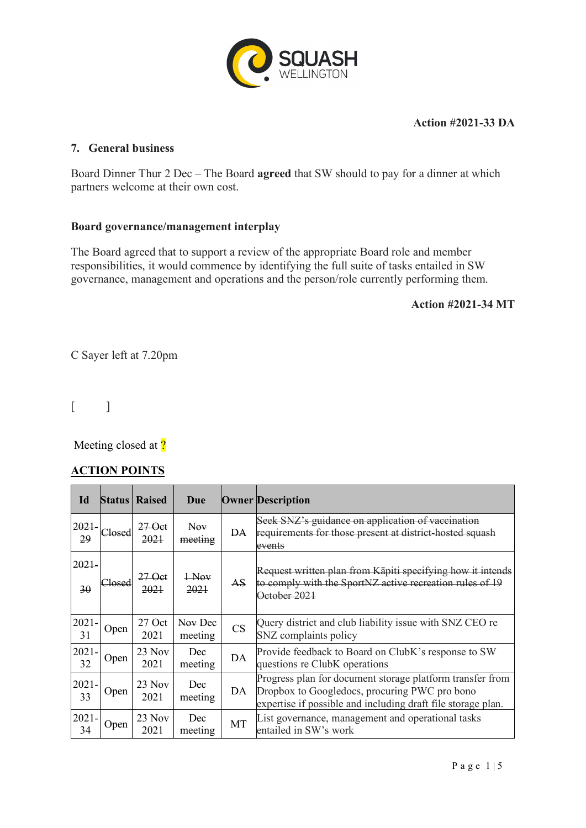

# **Action #2021-33 DA**

# **7. General business**

Board Dinner Thur 2 Dec – The Board **agreed** that SW should to pay for a dinner at which partners welcome at their own cost.

# **Board governance/management interplay**

The Board agreed that to support a review of the appropriate Board role and member responsibilities, it would commence by identifying the full suite of tasks entailed in SW governance, management and operations and the person/role currently performing them.

# **Action #2021-34 MT**

C Sayer left at 7.20pm

 $\lceil$ 

Meeting closed at ?

# **ACTION POINTS**

| Id                    |                   | <b>Status Raised</b> | Due                |           | <b>Owner Description</b>                                                                                                                                                   |
|-----------------------|-------------------|----------------------|--------------------|-----------|----------------------------------------------------------------------------------------------------------------------------------------------------------------------------|
| 2021<br>29            | <del>Closed</del> | 27 Oct<br>2021       | Nov.<br>meeting    | <b>DA</b> | Seek SNZ's guidance on application of vaccination<br>requirements for those present at district-hosted squash<br>events                                                    |
| <del>2021</del><br>30 | Closed            | 27 Oct<br>2021       | $+$ Nov<br>2021    | <b>AS</b> | Request written plan from Kāpiti specifying how it<br>to comply with the SportNZ active recreation rules of 19<br>October 2021                                             |
| $2021 -$<br>31        | Open              | $27$ Oct<br>2021     | Nov Dec<br>meeting | <b>CS</b> | Query district and club liability issue with SNZ CEO re<br>SNZ complaints policy                                                                                           |
| $2021 -$<br>32        | Open              | $23$ Nov<br>2021     | Dec<br>meeting     | DA        | Provide feedback to Board on ClubK's response to SW<br>questions re ClubK operations                                                                                       |
| $2021 -$<br>33        | Open              | $23$ Nov<br>2021     | Dec<br>meeting     | DA        | Progress plan for document storage platform transfer from<br>Dropbox to Googledocs, procuring PWC pro bono<br>expertise if possible and including draft file storage plan. |
| $2021 -$<br>34        | Open              | $23$ Nov<br>2021     | Dec<br>meeting     | MT        | List governance, management and operational tasks<br>entailed in SW's work                                                                                                 |